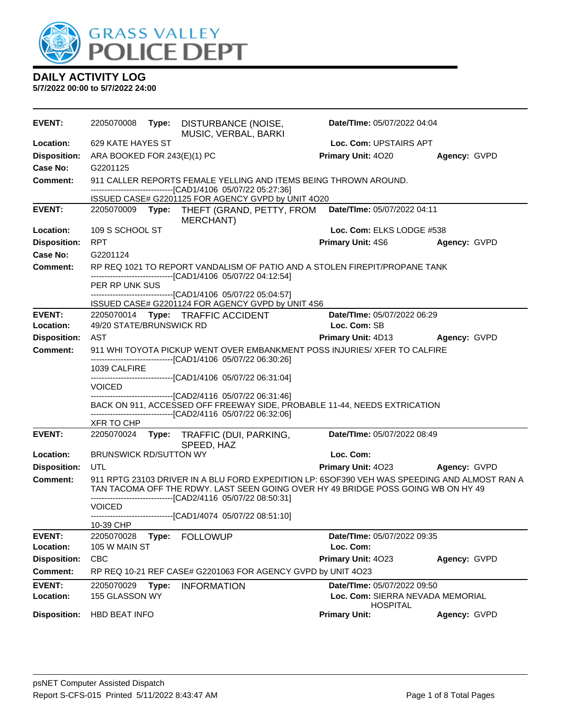

| <b>EVENT:</b>       | 2205070008                    |       | Type: DISTURBANCE (NOISE,<br>MUSIC, VERBAL, BARKI                                                                                         | Date/TIme: 05/07/2022 04:04                         |              |
|---------------------|-------------------------------|-------|-------------------------------------------------------------------------------------------------------------------------------------------|-----------------------------------------------------|--------------|
| Location:           | 629 KATE HAYES ST             |       |                                                                                                                                           | Loc. Com: UPSTAIRS APT                              |              |
| <b>Disposition:</b> | ARA BOOKED FOR 243(E)(1) PC   |       |                                                                                                                                           | Primary Unit: 4020                                  | Agency: GVPD |
| Case No:            | G2201125                      |       |                                                                                                                                           |                                                     |              |
| <b>Comment:</b>     |                               |       | 911 CALLER REPORTS FEMALE YELLING AND ITEMS BEING THROWN AROUND.                                                                          |                                                     |              |
|                     |                               |       | -------------------------------[CAD1/4106 05/07/22 05:27:36]                                                                              |                                                     |              |
| <b>EVENT:</b>       | 2205070009                    |       | ISSUED CASE# G2201125 FOR AGENCY GVPD by UNIT 4O20<br>Type: THEFT (GRAND, PETTY, FROM                                                     | Date/TIme: 05/07/2022 04:11                         |              |
|                     |                               |       | MERCHANT)                                                                                                                                 |                                                     |              |
| Location:           | 109 S SCHOOL ST               |       |                                                                                                                                           | Loc. Com: ELKS LODGE #538                           |              |
| <b>Disposition:</b> | <b>RPT</b>                    |       |                                                                                                                                           | <b>Primary Unit: 4S6</b>                            | Agency: GVPD |
| Case No:            | G2201124                      |       |                                                                                                                                           |                                                     |              |
| <b>Comment:</b>     |                               |       | RP REQ 1021 TO REPORT VANDALISM OF PATIO AND A STOLEN FIREPIT/PROPANE TANK                                                                |                                                     |              |
|                     | PER RP UNK SUS                |       | ------------------------[CAD1/4106 05/07/22 04:12:54]                                                                                     |                                                     |              |
|                     |                               |       | -------------------------------[CAD1/4106 05/07/22 05:04:57]<br>ISSUED CASE# G2201124 FOR AGENCY GVPD by UNIT 4S6                         |                                                     |              |
| <b>EVENT:</b>       |                               |       | 2205070014 Type: TRAFFIC ACCIDENT                                                                                                         | Date/TIme: 05/07/2022 06:29                         |              |
| Location:           | 49/20 STATE/BRUNSWICK RD      |       |                                                                                                                                           | Loc. Com: SB                                        |              |
| <b>Disposition:</b> | AST                           |       |                                                                                                                                           | Primary Unit: 4D13                                  | Agency: GVPD |
| <b>Comment:</b>     |                               |       | 911 WHI TOYOTA PICKUP WENT OVER EMBANKMENT POSS INJURIES/ XFER TO CALFIRE                                                                 |                                                     |              |
|                     | 1039 CALFIRE                  |       | -------------------------[CAD1/4106 05/07/22 06:30:26]                                                                                    |                                                     |              |
|                     | <b>VOICED</b>                 |       | -------------------------------[CAD1/4106 05/07/22 06:31:04]                                                                              |                                                     |              |
|                     |                               |       | ------------------------------[CAD2/4116 05/07/22 06:31:46]                                                                               |                                                     |              |
|                     |                               |       | BACK ON 911, ACCESSED OFF FREEWAY SIDE, PROBABLE 11-44, NEEDS EXTRICATION<br>-------------------------------[CAD2/4116 05/07/22 06:32:06] |                                                     |              |
|                     | XFR TO CHP                    |       |                                                                                                                                           |                                                     |              |
| <b>EVENT:</b>       | 2205070024                    |       | Type: TRAFFIC (DUI, PARKING,                                                                                                              | Date/TIme: 05/07/2022 08:49                         |              |
| Location:           | <b>BRUNSWICK RD/SUTTON WY</b> |       | SPEED, HAZ                                                                                                                                | Loc. Com:                                           |              |
| <b>Disposition:</b> | UTL                           |       |                                                                                                                                           | <b>Primary Unit: 4023</b>                           | Agency: GVPD |
| <b>Comment:</b>     |                               |       | 911 RPTG 23103 DRIVER IN A BLU FORD EXPEDITION LP: 6SOF390 VEH WAS SPEEDING AND ALMOST RAN A                                              |                                                     |              |
|                     |                               |       | TAN TACOMA OFF THE RDWY. LAST SEEN GOING OVER HY 49 BRIDGE POSS GOING WB ON HY 49                                                         |                                                     |              |
|                     | <b>VOICED</b>                 |       | -------------------------------[CAD2/4116 05/07/22 08:50:31]                                                                              |                                                     |              |
|                     |                               |       | -------------------------------[CAD1/4074 05/07/22 08:51:10]                                                                              |                                                     |              |
|                     | 10-39 CHP                     |       |                                                                                                                                           |                                                     |              |
| <b>EVENT:</b>       | 2205070028                    | Type: | <b>FOLLOWUP</b>                                                                                                                           | Date/TIme: 05/07/2022 09:35                         |              |
| Location:           | 105 W MAIN ST                 |       |                                                                                                                                           | Loc. Com:                                           |              |
| <b>Disposition:</b> | <b>CBC</b>                    |       |                                                                                                                                           | Primary Unit: 4023                                  | Agency: GVPD |
| <b>Comment:</b>     |                               |       | RP REQ 10-21 REF CASE# G2201063 FOR AGENCY GVPD by UNIT 4O23                                                                              |                                                     |              |
| <b>EVENT:</b>       | 2205070029                    | Type: | <b>INFORMATION</b>                                                                                                                        | Date/TIme: 05/07/2022 09:50                         |              |
| Location:           | 155 GLASSON WY                |       |                                                                                                                                           | Loc. Com: SIERRA NEVADA MEMORIAL<br><b>HOSPITAL</b> |              |
| <b>Disposition:</b> | <b>HBD BEAT INFO</b>          |       |                                                                                                                                           | <b>Primary Unit:</b>                                | Agency: GVPD |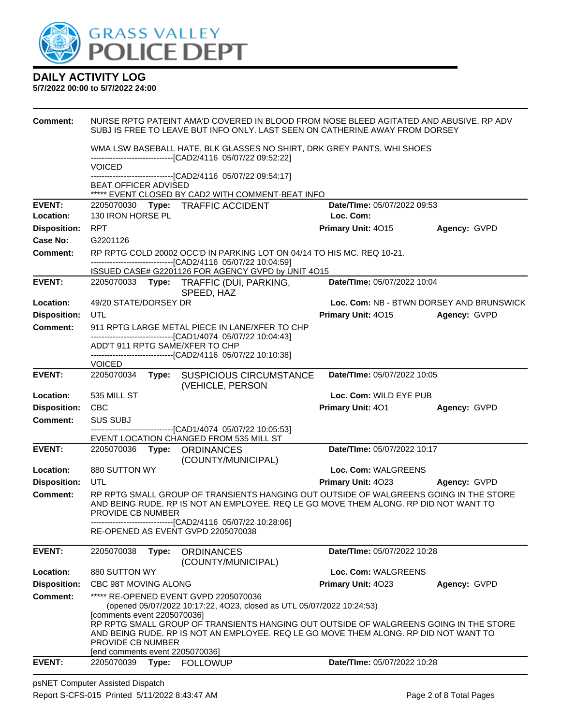

#### **5/7/2022 00:00 to 5/7/2022 24:00**

| Comment:            |                                                                                     |       |                                                                                                                                                                                              | NURSE RPTG PATEINT AMA'D COVERED IN BLOOD FROM NOSE BLEED AGITATED AND ABUSIVE. RP ADV<br>SUBJ IS FREE TO LEAVE BUT INFO ONLY. LAST SEEN ON CATHERINE AWAY FROM DORSEY        |                                          |  |  |
|---------------------|-------------------------------------------------------------------------------------|-------|----------------------------------------------------------------------------------------------------------------------------------------------------------------------------------------------|-------------------------------------------------------------------------------------------------------------------------------------------------------------------------------|------------------------------------------|--|--|
|                     |                                                                                     |       | -------------------------------[CAD2/4116 05/07/22 09:52:22]                                                                                                                                 | WMA LSW BASEBALL HATE, BLK GLASSES NO SHIRT, DRK GREY PANTS, WHI SHOES                                                                                                        |                                          |  |  |
|                     | <b>VOICED</b><br>-------------------[CAD2/4116_05/07/22 09:54:17]                   |       |                                                                                                                                                                                              |                                                                                                                                                                               |                                          |  |  |
|                     | <b>BEAT OFFICER ADVISED</b>                                                         |       |                                                                                                                                                                                              |                                                                                                                                                                               |                                          |  |  |
| <b>EVENT:</b>       |                                                                                     |       | ***** EVENT CLOSED BY CAD2 WITH COMMENT-BEAT INFO<br>2205070030 Type: TRAFFIC ACCIDENT                                                                                                       | Date/TIme: 05/07/2022 09:53                                                                                                                                                   |                                          |  |  |
| Location:           | 130 IRON HORSE PL                                                                   |       |                                                                                                                                                                                              | Loc. Com:                                                                                                                                                                     |                                          |  |  |
| <b>Disposition:</b> | <b>RPT</b>                                                                          |       |                                                                                                                                                                                              | Primary Unit: 4015                                                                                                                                                            | Agency: GVPD                             |  |  |
| Case No:            | G2201126                                                                            |       |                                                                                                                                                                                              |                                                                                                                                                                               |                                          |  |  |
| <b>Comment:</b>     |                                                                                     |       | RP RPTG COLD 20002 OCC'D IN PARKING LOT ON 04/14 TO HIS MC, REQ 10-21.<br>-------------------------------[CAD2/4116 05/07/22 10:04:59]<br>ISSUED CASE# G2201126 FOR AGENCY GVPD by UNIT 4015 |                                                                                                                                                                               |                                          |  |  |
| <b>EVENT:</b>       |                                                                                     |       | 2205070033 Type: TRAFFIC (DUI, PARKING,                                                                                                                                                      | Date/TIme: 05/07/2022 10:04                                                                                                                                                   |                                          |  |  |
|                     |                                                                                     |       | SPEED, HAZ                                                                                                                                                                                   |                                                                                                                                                                               |                                          |  |  |
| Location:           | 49/20 STATE/DORSEY DR                                                               |       |                                                                                                                                                                                              |                                                                                                                                                                               | Loc. Com: NB - BTWN DORSEY AND BRUNSWICK |  |  |
| <b>Disposition:</b> | UTL                                                                                 |       |                                                                                                                                                                                              | Primary Unit: 4015                                                                                                                                                            | Agency: GVPD                             |  |  |
| <b>Comment:</b>     |                                                                                     |       | 911 RPTG LARGE METAL PIECE IN LANE/XFER TO CHP                                                                                                                                               |                                                                                                                                                                               |                                          |  |  |
|                     |                                                                                     |       | -------------------------------[CAD1/4074 05/07/22 10:04:43]<br>ADD'T 911 RPTG SAME/XFER TO CHP                                                                                              |                                                                                                                                                                               |                                          |  |  |
|                     |                                                                                     |       | -------------------------------[CAD2/4116 05/07/22 10:10:38]                                                                                                                                 |                                                                                                                                                                               |                                          |  |  |
|                     | <b>VOICED</b>                                                                       |       |                                                                                                                                                                                              |                                                                                                                                                                               |                                          |  |  |
| <b>EVENT:</b>       | 2205070034 Type:                                                                    |       | <b>SUSPICIOUS CIRCUMSTANCE</b><br>(VEHICLE, PERSON                                                                                                                                           | Date/TIme: 05/07/2022 10:05                                                                                                                                                   |                                          |  |  |
| Location:           | 535 MILL ST                                                                         |       |                                                                                                                                                                                              | Loc. Com: WILD EYE PUB                                                                                                                                                        |                                          |  |  |
| <b>Disposition:</b> | CBC                                                                                 |       |                                                                                                                                                                                              | <b>Primary Unit: 401</b>                                                                                                                                                      | Agency: GVPD                             |  |  |
| <b>Comment:</b>     | <b>SUS SUBJ</b>                                                                     |       | -------------------------------[CAD1/4074_05/07/22_10:05:53]                                                                                                                                 |                                                                                                                                                                               |                                          |  |  |
|                     |                                                                                     |       | EVENT LOCATION CHANGED FROM 535 MILL ST                                                                                                                                                      |                                                                                                                                                                               |                                          |  |  |
| <b>EVENT:</b>       |                                                                                     |       | 2205070036    Type: ORDINANCES<br>(COUNTY/MUNICIPAL)                                                                                                                                         | Date/TIme: 05/07/2022 10:17                                                                                                                                                   |                                          |  |  |
| Location:           | 880 SUTTON WY                                                                       |       |                                                                                                                                                                                              | Loc. Com: WALGREENS                                                                                                                                                           |                                          |  |  |
| <b>Disposition:</b> | UTL                                                                                 |       |                                                                                                                                                                                              | Primary Unit: 4023                                                                                                                                                            | Agency: GVPD                             |  |  |
| <b>Comment:</b>     | PROVIDE CB NUMBER                                                                   |       |                                                                                                                                                                                              | RP RPTG SMALL GROUP OF TRANSIENTS HANGING OUT OUTSIDE OF WALGREENS GOING IN THE STORE<br>AND BEING RUDE. RP IS NOT AN EMPLOYEE. REQ LE GO MOVE THEM ALONG. RP DID NOT WANT TO |                                          |  |  |
|                     |                                                                                     |       | ---------------------------[CAD2/4116 05/07/22 10:28:06]<br>RE-OPENED AS EVENT GVPD 2205070038                                                                                               |                                                                                                                                                                               |                                          |  |  |
| <b>EVENT:</b>       | 2205070038                                                                          | Type: | <b>ORDINANCES</b><br>(COUNTY/MUNICIPAL)                                                                                                                                                      | Date/TIme: 05/07/2022 10:28                                                                                                                                                   |                                          |  |  |
| Location:           | 880 SUTTON WY                                                                       |       |                                                                                                                                                                                              | Loc. Com: WALGREENS                                                                                                                                                           |                                          |  |  |
| <b>Disposition:</b> | CBC 98T MOVING ALONG                                                                |       |                                                                                                                                                                                              | Primary Unit: 4023                                                                                                                                                            | Agency: GVPD                             |  |  |
| <b>Comment:</b>     |                                                                                     |       | ***** RE-OPENED EVENT GVPD 2205070036<br>(opened 05/07/2022 10:17:22, 4O23, closed as UTL 05/07/2022 10:24:53)                                                                               |                                                                                                                                                                               |                                          |  |  |
|                     | Icomments event 22050700361<br>PROVIDE CB NUMBER<br>[end comments event 2205070036] |       |                                                                                                                                                                                              | RP RPTG SMALL GROUP OF TRANSIENTS HANGING OUT OUTSIDE OF WALGREENS GOING IN THE STORE<br>AND BEING RUDE. RP IS NOT AN EMPLOYEE. REQ LE GO MOVE THEM ALONG. RP DID NOT WANT TO |                                          |  |  |
| <b>EVENT:</b>       | 2205070039                                                                          | Type: | <b>FOLLOWUP</b>                                                                                                                                                                              | Date/TIme: 05/07/2022 10:28                                                                                                                                                   |                                          |  |  |
|                     |                                                                                     |       |                                                                                                                                                                                              |                                                                                                                                                                               |                                          |  |  |

psNET Computer Assisted Dispatch Report S-CFS-015 Printed 5/11/2022 8:43:47 AM Page 2 of 8 Total Pages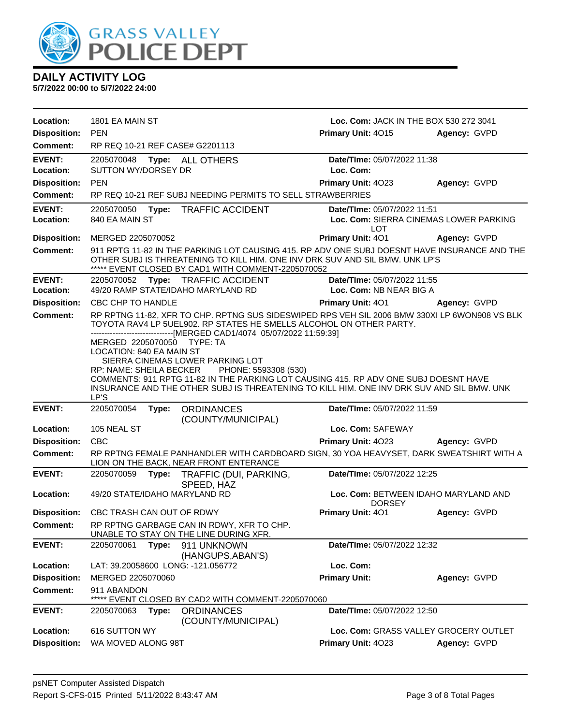

| Location:                  | 1801 EA MAIN ST               |       |                                                                                                                                                                                                                                              | Loc. Com: JACK IN THE BOX 530 272 3041                                               |                                        |
|----------------------------|-------------------------------|-------|----------------------------------------------------------------------------------------------------------------------------------------------------------------------------------------------------------------------------------------------|--------------------------------------------------------------------------------------|----------------------------------------|
| <b>Disposition:</b>        | <b>PEN</b>                    |       |                                                                                                                                                                                                                                              | Primary Unit: 4015                                                                   | Agency: GVPD                           |
| Comment:                   |                               |       | RP REQ 10-21 REF CASE# G2201113                                                                                                                                                                                                              |                                                                                      |                                        |
| <b>EVENT:</b>              | 2205070048                    |       | Type: ALL OTHERS                                                                                                                                                                                                                             | Date/TIme: 05/07/2022 11:38                                                          |                                        |
| Location:                  | <b>SUTTON WY/DORSEY DR</b>    |       |                                                                                                                                                                                                                                              | Loc. Com:                                                                            |                                        |
| <b>Disposition:</b>        | <b>PEN</b>                    |       |                                                                                                                                                                                                                                              | <b>Primary Unit: 4023</b>                                                            | Agency: GVPD                           |
| <b>Comment:</b>            |                               |       | RP REQ 10-21 REF SUBJ NEEDING PERMITS TO SELL STRAWBERRIES                                                                                                                                                                                   |                                                                                      |                                        |
| <b>EVENT:</b>              | 2205070050                    | Type: | <b>TRAFFIC ACCIDENT</b>                                                                                                                                                                                                                      | Date/TIme: 05/07/2022 11:51                                                          |                                        |
| Location:                  | 840 EA MAIN ST                |       |                                                                                                                                                                                                                                              | LOT                                                                                  | Loc. Com: SIERRA CINEMAS LOWER PARKING |
| <b>Disposition:</b>        | MERGED 2205070052             |       |                                                                                                                                                                                                                                              | Primary Unit: 401                                                                    | Agency: GVPD                           |
| <b>Comment:</b>            |                               |       | 911 RPTG 11-82 IN THE PARKING LOT CAUSING 415. RP ADV ONE SUBJ DOESNT HAVE INSURANCE AND THE<br>OTHER SUBJ IS THREATENING TO KILL HIM. ONE INV DRK SUV AND SIL BMW. UNK LP'S<br>***** EVENT CLOSED BY CAD1 WITH COMMENT-2205070052           |                                                                                      |                                        |
| <b>EVENT:</b><br>Location: | 2205070052                    |       | Type: TRAFFIC ACCIDENT<br>49/20 RAMP STATE/IDAHO MARYLAND RD                                                                                                                                                                                 | Date/TIme: 05/07/2022 11:55<br>Loc. Com: NB NEAR BIG A                               |                                        |
| <b>Disposition:</b>        | CBC CHP TO HANDLE             |       |                                                                                                                                                                                                                                              | Primary Unit: 401                                                                    | Agency: GVPD                           |
| <b>Comment:</b>            | MERGED 2205070050 TYPE: TA    |       | RP RPTNG 11-82, XFR TO CHP. RPTNG SUS SIDESWIPED RPS VEH SIL 2006 BMW 330XI LP 6WON908 VS BLK<br>TOYOTA RAV4 LP 5UEL902. RP STATES HE SMELLS ALCOHOL ON OTHER PARTY.<br>------------------------------[MERGED CAD1/4074 05/07/2022 11:59:39] |                                                                                      |                                        |
|                            | RP: NAME: SHEILA BECKER       |       | SIERRA CINEMAS LOWER PARKING LOT<br>PHONE: 5593308 (530)                                                                                                                                                                                     | COMMENTS: 911 RPTG 11-82 IN THE PARKING LOT CAUSING 415. RP ADV ONE SUBJ DOESNT HAVE |                                        |
|                            | LP'S                          |       | INSURANCE AND THE OTHER SUBJ IS THREATENING TO KILL HIM. ONE INV DRK SUV AND SIL BMW. UNK                                                                                                                                                    |                                                                                      |                                        |
| <b>EVENT:</b>              | 2205070054                    | Type: | <b>ORDINANCES</b>                                                                                                                                                                                                                            | Date/TIme: 05/07/2022 11:59                                                          |                                        |
| Location:                  | 105 NEAL ST                   |       | (COUNTY/MUNICIPAL)                                                                                                                                                                                                                           | Loc. Com: SAFEWAY                                                                    |                                        |
| <b>Disposition:</b>        | <b>CBC</b>                    |       |                                                                                                                                                                                                                                              | Primary Unit: 4023                                                                   | Agency: GVPD                           |
| <b>Comment:</b>            |                               |       | RP RPTNG FEMALE PANHANDLER WITH CARDBOARD SIGN, 30 YOA HEAVYSET, DARK SWEATSHIRT WITH A<br>LION ON THE BACK, NEAR FRONT ENTERANCE                                                                                                            |                                                                                      |                                        |
| <b>EVENT:</b>              | 2205070059                    | Type: | TRAFFIC (DUI, PARKING,<br>SPEED, HAZ                                                                                                                                                                                                         | Date/TIme: 05/07/2022 12:25                                                          |                                        |
| Location:                  | 49/20 STATE/IDAHO MARYLAND RD |       |                                                                                                                                                                                                                                              | <b>DORSEY</b>                                                                        | Loc. Com: BETWEEN IDAHO MARYLAND AND   |
| <b>Disposition:</b>        | CBC TRASH CAN OUT OF RDWY     |       |                                                                                                                                                                                                                                              | <b>Primary Unit: 401</b>                                                             | Agency: GVPD                           |
| <b>Comment:</b>            |                               |       | RP RPTNG GARBAGE CAN IN RDWY, XFR TO CHP.<br>UNABLE TO STAY ON THE LINE DURING XFR.                                                                                                                                                          |                                                                                      |                                        |
| <b>EVENT:</b>              | 2205070061                    | Type: | 911 UNKNOWN<br>(HANGUPS, ABAN'S)                                                                                                                                                                                                             | Date/TIme: 05/07/2022 12:32                                                          |                                        |
| Location:                  |                               |       | LAT: 39.20058600 LONG: -121.056772                                                                                                                                                                                                           | Loc. Com:                                                                            |                                        |
| <b>Disposition:</b>        | MERGED 2205070060             |       |                                                                                                                                                                                                                                              | <b>Primary Unit:</b>                                                                 | Agency: GVPD                           |
| <b>Comment:</b>            | 911 ABANDON                   |       | EVENT CLOSED BY CAD2 WITH COMMENT-2205070060                                                                                                                                                                                                 |                                                                                      |                                        |
| <b>EVENT:</b>              | 2205070063                    | Type: | <b>ORDINANCES</b><br>(COUNTY/MUNICIPAL)                                                                                                                                                                                                      | Date/TIme: 05/07/2022 12:50                                                          |                                        |
| Location:                  | 616 SUTTON WY                 |       |                                                                                                                                                                                                                                              |                                                                                      | Loc. Com: GRASS VALLEY GROCERY OUTLET  |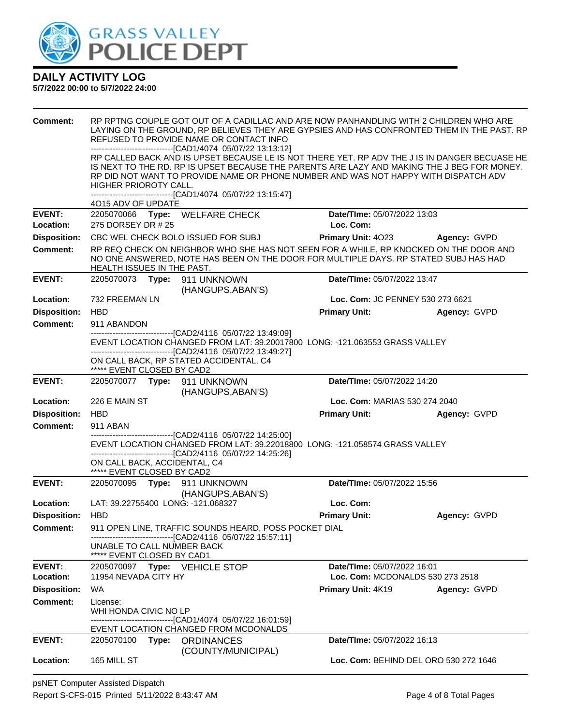

| <b>Comment:</b>     |                                                              | REFUSED TO PROVIDE NAME OR CONTACT INFO<br>-------------------------------[CAD1/4074 05/07/22 13:13:12]                                     | RP RPTNG COUPLE GOT OUT OF A CADILLAC AND ARE NOW PANHANDLING WITH 2 CHILDREN WHO ARE<br>LAYING ON THE GROUND, RP BELIEVES THEY ARE GYPSIES AND HAS CONFRONTED THEM IN THE PAST. RP                                                                                                 |              |
|---------------------|--------------------------------------------------------------|---------------------------------------------------------------------------------------------------------------------------------------------|-------------------------------------------------------------------------------------------------------------------------------------------------------------------------------------------------------------------------------------------------------------------------------------|--------------|
|                     | HIGHER PRIOROTY CALL.                                        |                                                                                                                                             | RP CALLED BACK AND IS UPSET BECAUSE LE IS NOT THERE YET. RP ADV THE J IS IN DANGER BECUASE HE<br>IS NEXT TO THE RD. RP IS UPSET BECAUSE THE PARENTS ARE LAZY AND MAKING THE J BEG FOR MONEY.<br>RP DID NOT WANT TO PROVIDE NAME OR PHONE NUMBER AND WAS NOT HAPPY WITH DISPATCH ADV |              |
|                     | 4O15 ADV OF UPDATE                                           | ------------------------------[CAD1/4074 05/07/22 13:15:47]                                                                                 |                                                                                                                                                                                                                                                                                     |              |
| <b>EVENT:</b>       |                                                              | 2205070066 Type: WELFARE CHECK                                                                                                              | Date/TIme: 05/07/2022 13:03                                                                                                                                                                                                                                                         |              |
| Location:           | 275 DORSEY DR # 25                                           |                                                                                                                                             | Loc. Com:                                                                                                                                                                                                                                                                           |              |
| <b>Disposition:</b> |                                                              | CBC WEL CHECK BOLO ISSUED FOR SUBJ                                                                                                          | <b>Primary Unit: 4023</b>                                                                                                                                                                                                                                                           | Agency: GVPD |
| Comment:            |                                                              |                                                                                                                                             | RP REQ CHECK ON NEIGHBOR WHO SHE HAS NOT SEEN FOR A WHILE, RP KNOCKED ON THE DOOR AND                                                                                                                                                                                               |              |
|                     | HEALTH ISSUES IN THE PAST.                                   |                                                                                                                                             | NO ONE ANSWERED, NOTE HAS BEEN ON THE DOOR FOR MULTIPLE DAYS. RP STATED SUBJ HAS HAD                                                                                                                                                                                                |              |
| <b>EVENT:</b>       |                                                              | 2205070073 Type: 911 UNKNOWN<br>(HANGUPS, ABAN'S)                                                                                           | Date/TIme: 05/07/2022 13:47                                                                                                                                                                                                                                                         |              |
| Location:           | 732 FREEMAN LN                                               |                                                                                                                                             | Loc. Com: JC PENNEY 530 273 6621                                                                                                                                                                                                                                                    |              |
| <b>Disposition:</b> | <b>HBD</b>                                                   |                                                                                                                                             | <b>Primary Unit:</b>                                                                                                                                                                                                                                                                | Agency: GVPD |
| <b>Comment:</b>     | 911 ABANDON                                                  |                                                                                                                                             |                                                                                                                                                                                                                                                                                     |              |
|                     |                                                              | -------------------------------[CAD2/4116 05/07/22 13:49:09]<br>---------------------------------[CAD2/4116 05/07/22 13:49:27]              | EVENT LOCATION CHANGED FROM LAT: 39.20017800 LONG: -121.063553 GRASS VALLEY                                                                                                                                                                                                         |              |
|                     | ***** EVENT CLOSED BY CAD2                                   | ON CALL BACK, RP STATED ACCIDENTAL, C4                                                                                                      |                                                                                                                                                                                                                                                                                     |              |
| <b>EVENT:</b>       |                                                              | 2205070077    Type: 911    UNKNOWN<br>(HANGUPS, ABAN'S)                                                                                     | Date/TIme: 05/07/2022 14:20                                                                                                                                                                                                                                                         |              |
| Location:           | 226 E MAIN ST                                                |                                                                                                                                             | Loc. Com: MARIAS 530 274 2040                                                                                                                                                                                                                                                       |              |
| <b>Disposition:</b> | <b>HBD</b>                                                   |                                                                                                                                             | <b>Primary Unit:</b>                                                                                                                                                                                                                                                                | Agency: GVPD |
|                     | 911 ABAN                                                     |                                                                                                                                             |                                                                                                                                                                                                                                                                                     |              |
| <b>Comment:</b>     |                                                              |                                                                                                                                             |                                                                                                                                                                                                                                                                                     |              |
|                     | -------------------------------[CAD2/4116 05/07/22 14:25:00] |                                                                                                                                             |                                                                                                                                                                                                                                                                                     |              |
|                     |                                                              | EVENT LOCATION CHANGED FROM LAT: 39.22018800 LONG: -121.058574 GRASS VALLEY<br>-------------------------------[CAD2/4116 05/07/22 14:25:26] |                                                                                                                                                                                                                                                                                     |              |
|                     | ON CALL BACK, ACCIDENTAL, C4                                 |                                                                                                                                             |                                                                                                                                                                                                                                                                                     |              |
| <b>EVENT:</b>       | ***** EVENT CLOSED BY CAD2                                   | 2205070095 Type: 911 UNKNOWN                                                                                                                | Date/TIme: 05/07/2022 15:56                                                                                                                                                                                                                                                         |              |
|                     |                                                              | (HANGUPS, ABAN'S)                                                                                                                           |                                                                                                                                                                                                                                                                                     |              |
| Location:           |                                                              | LAT: 39.22755400 LONG: -121.068327                                                                                                          | Loc. Com:                                                                                                                                                                                                                                                                           |              |
| <b>Disposition:</b> | <b>HBD</b>                                                   |                                                                                                                                             | <b>Primary Unit:</b>                                                                                                                                                                                                                                                                | Agency: GVPD |
| Comment:            |                                                              | 911 OPEN LINE, TRAFFIC SOUNDS HEARD, POSS POCKET DIAL<br>------------------------------[CAD2/4116 05/07/22 15:57:11]                        |                                                                                                                                                                                                                                                                                     |              |
|                     | UNABLE TO CALL NUMBER BACK<br>***** EVENT CLOSED BY CAD1     |                                                                                                                                             |                                                                                                                                                                                                                                                                                     |              |
| <b>EVENT:</b>       |                                                              | 2205070097 Type: VEHICLE STOP                                                                                                               | Date/TIme: 05/07/2022 16:01                                                                                                                                                                                                                                                         |              |
| Location:           | 11954 NEVADA CITY HY                                         |                                                                                                                                             | Loc. Com: MCDONALDS 530 273 2518                                                                                                                                                                                                                                                    |              |
| <b>Disposition:</b> | WA.                                                          |                                                                                                                                             | <b>Primary Unit: 4K19</b>                                                                                                                                                                                                                                                           | Agency: GVPD |
| Comment:            | License:<br>WHI HONDA CIVIC NO LP                            |                                                                                                                                             |                                                                                                                                                                                                                                                                                     |              |
|                     |                                                              | -------------------------------[CAD1/4074_05/07/22 16:01:59]                                                                                |                                                                                                                                                                                                                                                                                     |              |
| <b>EVENT:</b>       |                                                              | EVENT LOCATION CHANGED FROM MCDONALDS<br>2205070100 Type: ORDINANCES<br>(COUNTY/MUNICIPAL)                                                  | Date/TIme: 05/07/2022 16:13                                                                                                                                                                                                                                                         |              |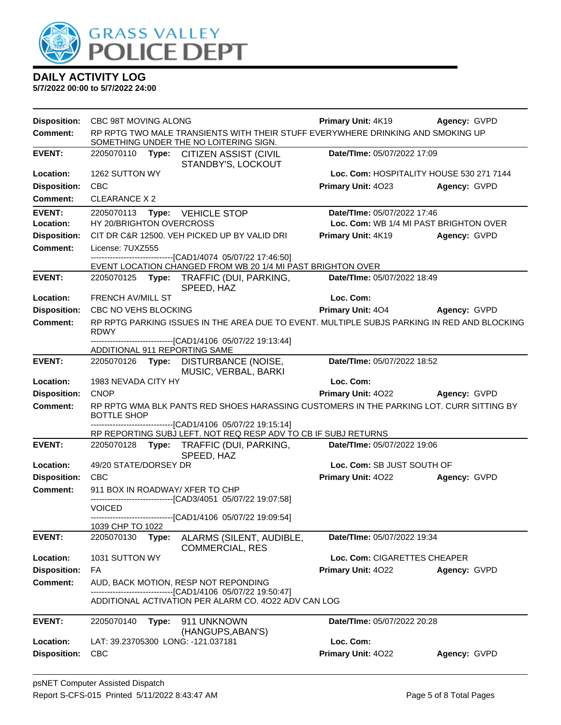

| RP RPTG TWO MALE TRANSIENTS WITH THEIR STUFF EVERYWHERE DRINKING AND SMOKING UP<br><b>Comment:</b><br>SOMETHING UNDER THE NO LOITERING SIGN.<br><b>EVENT:</b><br>2205070110 Type: CITIZEN ASSIST (CIVIL<br>Date/TIme: 05/07/2022 17:09<br>STANDBY'S, LOCKOUT<br>Location:<br>1262 SUTTON WY<br>Loc. Com: HOSPITALITY HOUSE 530 271 7144<br><b>Disposition:</b><br><b>CBC</b><br>Primary Unit: 4023<br>Agency: GVPD<br><b>CLEARANCE X 2</b><br><b>Comment:</b><br><b>EVENT:</b><br>Date/TIme: 05/07/2022 17:46<br>2205070113<br>Type: VEHICLE STOP<br>HY 20/BRIGHTON OVERCROSS<br>Loc. Com: WB 1/4 MI PAST BRIGHTON OVER<br>Location:<br><b>Disposition:</b><br>CIT DR C&R 12500. VEH PICKED UP BY VALID DRI<br><b>Primary Unit: 4K19</b><br>Agency: GVPD<br><b>Comment:</b><br>License: 7UXZ555<br>---------------------------[CAD1/4074_05/07/22 17:46:50]<br>EVENT LOCATION CHANGED FROM WB 20 1/4 MI PAST BRIGHTON OVER<br><b>EVENT:</b><br>2205070125 Type: TRAFFIC (DUI, PARKING,<br>Date/TIme: 05/07/2022 18:49<br>SPEED, HAZ<br>Loc. Com:<br><b>Location:</b><br><b>FRENCH AV/MILL ST</b><br><b>Disposition:</b><br>Primary Unit: 404 Agency: GVPD<br>CBC NO VEHS BLOCKING<br><b>Comment:</b><br>RP RPTG PARKING ISSUES IN THE AREA DUE TO EVENT. MULTIPLE SUBJS PARKING IN RED AND BLOCKING<br><b>RDWY</b><br>--------------------------------[CAD1/4106 05/07/22 19:13:44]<br>ADDITIONAL 911 REPORTING SAME<br><b>EVENT:</b><br>Date/TIme: 05/07/2022 18:52<br>2205070126 Type: DISTURBANCE (NOISE,<br>MUSIC, VERBAL, BARKI<br>Location:<br>1983 NEVADA CITY HY<br>Loc. Com:<br>Primary Unit: 4022 Agency: GVPD<br><b>Disposition:</b><br><b>CNOP</b><br>RP RPTG WMA BLK PANTS RED SHOES HARASSING CUSTOMERS IN THE PARKING LOT. CURR SITTING BY<br><b>Comment:</b><br><b>BOTTLE SHOP</b><br>------------------------------[CAD1/4106 05/07/22 19:15:14]<br>RP REPORTING SUBJ LEFT. NOT REQ RESP ADV TO CB IF SUBJ RETURNS<br><b>EVENT:</b><br>2205070128 Type: TRAFFIC (DUI, PARKING,<br>Date/TIme: 05/07/2022 19:06<br>SPEED, HAZ<br>49/20 STATE/DORSEY DR<br>Loc. Com: SB JUST SOUTH OF<br>Location:<br><b>Disposition:</b><br><b>CBC</b><br><b>Primary Unit: 4022</b><br>Agency: GVPD<br><b>Comment:</b><br>911 BOX IN ROADWAY/ XFER TO CHP<br>------------------------------[CAD3/4051 05/07/22 19:07:58]<br><b>VOICED</b><br>-------------------------------[CAD1/4106 05/07/22 19:09:54]<br>1039 CHP TO 1022<br><b>EVENT:</b><br>2205070130<br>Date/TIme: 05/07/2022 19:34<br>Type:<br>ALARMS (SILENT, AUDIBLE,<br><b>COMMERCIAL, RES</b><br>1031 SUTTON WY<br>Location:<br>Loc. Com: CIGARETTES CHEAPER<br><b>Disposition:</b><br>FA<br><b>Primary Unit: 4022</b><br>Agency: GVPD<br><b>Comment:</b><br>AUD, BACK MOTION, RESP NOT REPONDING<br>------[CAD1/4106 05/07/22 19:50:47]<br>ADDITIONAL ACTIVATION PER ALARM CO. 4022 ADV CAN LOG<br><b>EVENT:</b><br>2205070140<br>Date/TIme: 05/07/2022 20:28<br>Type:<br>911 UNKNOWN<br>(HANGUPS, ABAN'S)<br>Loc. Com:<br>Location:<br>LAT: 39.23705300 LONG: -121.037181<br><b>Disposition:</b><br>Primary Unit: 4022<br><b>CBC</b><br>Agency: GVPD | <b>Disposition:</b> | CBC 98T MOVING ALONG | <b>Primary Unit: 4K19</b> | Agency: GVPD |
|--------------------------------------------------------------------------------------------------------------------------------------------------------------------------------------------------------------------------------------------------------------------------------------------------------------------------------------------------------------------------------------------------------------------------------------------------------------------------------------------------------------------------------------------------------------------------------------------------------------------------------------------------------------------------------------------------------------------------------------------------------------------------------------------------------------------------------------------------------------------------------------------------------------------------------------------------------------------------------------------------------------------------------------------------------------------------------------------------------------------------------------------------------------------------------------------------------------------------------------------------------------------------------------------------------------------------------------------------------------------------------------------------------------------------------------------------------------------------------------------------------------------------------------------------------------------------------------------------------------------------------------------------------------------------------------------------------------------------------------------------------------------------------------------------------------------------------------------------------------------------------------------------------------------------------------------------------------------------------------------------------------------------------------------------------------------------------------------------------------------------------------------------------------------------------------------------------------------------------------------------------------------------------------------------------------------------------------------------------------------------------------------------------------------------------------------------------------------------------------------------------------------------------------------------------------------------------------------------------------------------------------------------------------------------------------------------------------------------------------------------------------------------------------------------------------------------------------------------------------------------------------------------------------------------------------------------------------------------------------------------------------------------------------------------------------------------------------------------------------------|---------------------|----------------------|---------------------------|--------------|
|                                                                                                                                                                                                                                                                                                                                                                                                                                                                                                                                                                                                                                                                                                                                                                                                                                                                                                                                                                                                                                                                                                                                                                                                                                                                                                                                                                                                                                                                                                                                                                                                                                                                                                                                                                                                                                                                                                                                                                                                                                                                                                                                                                                                                                                                                                                                                                                                                                                                                                                                                                                                                                                                                                                                                                                                                                                                                                                                                                                                                                                                                                                    |                     |                      |                           |              |
|                                                                                                                                                                                                                                                                                                                                                                                                                                                                                                                                                                                                                                                                                                                                                                                                                                                                                                                                                                                                                                                                                                                                                                                                                                                                                                                                                                                                                                                                                                                                                                                                                                                                                                                                                                                                                                                                                                                                                                                                                                                                                                                                                                                                                                                                                                                                                                                                                                                                                                                                                                                                                                                                                                                                                                                                                                                                                                                                                                                                                                                                                                                    |                     |                      |                           |              |
|                                                                                                                                                                                                                                                                                                                                                                                                                                                                                                                                                                                                                                                                                                                                                                                                                                                                                                                                                                                                                                                                                                                                                                                                                                                                                                                                                                                                                                                                                                                                                                                                                                                                                                                                                                                                                                                                                                                                                                                                                                                                                                                                                                                                                                                                                                                                                                                                                                                                                                                                                                                                                                                                                                                                                                                                                                                                                                                                                                                                                                                                                                                    |                     |                      |                           |              |
|                                                                                                                                                                                                                                                                                                                                                                                                                                                                                                                                                                                                                                                                                                                                                                                                                                                                                                                                                                                                                                                                                                                                                                                                                                                                                                                                                                                                                                                                                                                                                                                                                                                                                                                                                                                                                                                                                                                                                                                                                                                                                                                                                                                                                                                                                                                                                                                                                                                                                                                                                                                                                                                                                                                                                                                                                                                                                                                                                                                                                                                                                                                    |                     |                      |                           |              |
|                                                                                                                                                                                                                                                                                                                                                                                                                                                                                                                                                                                                                                                                                                                                                                                                                                                                                                                                                                                                                                                                                                                                                                                                                                                                                                                                                                                                                                                                                                                                                                                                                                                                                                                                                                                                                                                                                                                                                                                                                                                                                                                                                                                                                                                                                                                                                                                                                                                                                                                                                                                                                                                                                                                                                                                                                                                                                                                                                                                                                                                                                                                    |                     |                      |                           |              |
|                                                                                                                                                                                                                                                                                                                                                                                                                                                                                                                                                                                                                                                                                                                                                                                                                                                                                                                                                                                                                                                                                                                                                                                                                                                                                                                                                                                                                                                                                                                                                                                                                                                                                                                                                                                                                                                                                                                                                                                                                                                                                                                                                                                                                                                                                                                                                                                                                                                                                                                                                                                                                                                                                                                                                                                                                                                                                                                                                                                                                                                                                                                    |                     |                      |                           |              |
|                                                                                                                                                                                                                                                                                                                                                                                                                                                                                                                                                                                                                                                                                                                                                                                                                                                                                                                                                                                                                                                                                                                                                                                                                                                                                                                                                                                                                                                                                                                                                                                                                                                                                                                                                                                                                                                                                                                                                                                                                                                                                                                                                                                                                                                                                                                                                                                                                                                                                                                                                                                                                                                                                                                                                                                                                                                                                                                                                                                                                                                                                                                    |                     |                      |                           |              |
|                                                                                                                                                                                                                                                                                                                                                                                                                                                                                                                                                                                                                                                                                                                                                                                                                                                                                                                                                                                                                                                                                                                                                                                                                                                                                                                                                                                                                                                                                                                                                                                                                                                                                                                                                                                                                                                                                                                                                                                                                                                                                                                                                                                                                                                                                                                                                                                                                                                                                                                                                                                                                                                                                                                                                                                                                                                                                                                                                                                                                                                                                                                    |                     |                      |                           |              |
|                                                                                                                                                                                                                                                                                                                                                                                                                                                                                                                                                                                                                                                                                                                                                                                                                                                                                                                                                                                                                                                                                                                                                                                                                                                                                                                                                                                                                                                                                                                                                                                                                                                                                                                                                                                                                                                                                                                                                                                                                                                                                                                                                                                                                                                                                                                                                                                                                                                                                                                                                                                                                                                                                                                                                                                                                                                                                                                                                                                                                                                                                                                    |                     |                      |                           |              |
|                                                                                                                                                                                                                                                                                                                                                                                                                                                                                                                                                                                                                                                                                                                                                                                                                                                                                                                                                                                                                                                                                                                                                                                                                                                                                                                                                                                                                                                                                                                                                                                                                                                                                                                                                                                                                                                                                                                                                                                                                                                                                                                                                                                                                                                                                                                                                                                                                                                                                                                                                                                                                                                                                                                                                                                                                                                                                                                                                                                                                                                                                                                    |                     |                      |                           |              |
|                                                                                                                                                                                                                                                                                                                                                                                                                                                                                                                                                                                                                                                                                                                                                                                                                                                                                                                                                                                                                                                                                                                                                                                                                                                                                                                                                                                                                                                                                                                                                                                                                                                                                                                                                                                                                                                                                                                                                                                                                                                                                                                                                                                                                                                                                                                                                                                                                                                                                                                                                                                                                                                                                                                                                                                                                                                                                                                                                                                                                                                                                                                    |                     |                      |                           |              |
|                                                                                                                                                                                                                                                                                                                                                                                                                                                                                                                                                                                                                                                                                                                                                                                                                                                                                                                                                                                                                                                                                                                                                                                                                                                                                                                                                                                                                                                                                                                                                                                                                                                                                                                                                                                                                                                                                                                                                                                                                                                                                                                                                                                                                                                                                                                                                                                                                                                                                                                                                                                                                                                                                                                                                                                                                                                                                                                                                                                                                                                                                                                    |                     |                      |                           |              |
|                                                                                                                                                                                                                                                                                                                                                                                                                                                                                                                                                                                                                                                                                                                                                                                                                                                                                                                                                                                                                                                                                                                                                                                                                                                                                                                                                                                                                                                                                                                                                                                                                                                                                                                                                                                                                                                                                                                                                                                                                                                                                                                                                                                                                                                                                                                                                                                                                                                                                                                                                                                                                                                                                                                                                                                                                                                                                                                                                                                                                                                                                                                    |                     |                      |                           |              |
|                                                                                                                                                                                                                                                                                                                                                                                                                                                                                                                                                                                                                                                                                                                                                                                                                                                                                                                                                                                                                                                                                                                                                                                                                                                                                                                                                                                                                                                                                                                                                                                                                                                                                                                                                                                                                                                                                                                                                                                                                                                                                                                                                                                                                                                                                                                                                                                                                                                                                                                                                                                                                                                                                                                                                                                                                                                                                                                                                                                                                                                                                                                    |                     |                      |                           |              |
|                                                                                                                                                                                                                                                                                                                                                                                                                                                                                                                                                                                                                                                                                                                                                                                                                                                                                                                                                                                                                                                                                                                                                                                                                                                                                                                                                                                                                                                                                                                                                                                                                                                                                                                                                                                                                                                                                                                                                                                                                                                                                                                                                                                                                                                                                                                                                                                                                                                                                                                                                                                                                                                                                                                                                                                                                                                                                                                                                                                                                                                                                                                    |                     |                      |                           |              |
|                                                                                                                                                                                                                                                                                                                                                                                                                                                                                                                                                                                                                                                                                                                                                                                                                                                                                                                                                                                                                                                                                                                                                                                                                                                                                                                                                                                                                                                                                                                                                                                                                                                                                                                                                                                                                                                                                                                                                                                                                                                                                                                                                                                                                                                                                                                                                                                                                                                                                                                                                                                                                                                                                                                                                                                                                                                                                                                                                                                                                                                                                                                    |                     |                      |                           |              |
|                                                                                                                                                                                                                                                                                                                                                                                                                                                                                                                                                                                                                                                                                                                                                                                                                                                                                                                                                                                                                                                                                                                                                                                                                                                                                                                                                                                                                                                                                                                                                                                                                                                                                                                                                                                                                                                                                                                                                                                                                                                                                                                                                                                                                                                                                                                                                                                                                                                                                                                                                                                                                                                                                                                                                                                                                                                                                                                                                                                                                                                                                                                    |                     |                      |                           |              |
|                                                                                                                                                                                                                                                                                                                                                                                                                                                                                                                                                                                                                                                                                                                                                                                                                                                                                                                                                                                                                                                                                                                                                                                                                                                                                                                                                                                                                                                                                                                                                                                                                                                                                                                                                                                                                                                                                                                                                                                                                                                                                                                                                                                                                                                                                                                                                                                                                                                                                                                                                                                                                                                                                                                                                                                                                                                                                                                                                                                                                                                                                                                    |                     |                      |                           |              |
|                                                                                                                                                                                                                                                                                                                                                                                                                                                                                                                                                                                                                                                                                                                                                                                                                                                                                                                                                                                                                                                                                                                                                                                                                                                                                                                                                                                                                                                                                                                                                                                                                                                                                                                                                                                                                                                                                                                                                                                                                                                                                                                                                                                                                                                                                                                                                                                                                                                                                                                                                                                                                                                                                                                                                                                                                                                                                                                                                                                                                                                                                                                    |                     |                      |                           |              |
|                                                                                                                                                                                                                                                                                                                                                                                                                                                                                                                                                                                                                                                                                                                                                                                                                                                                                                                                                                                                                                                                                                                                                                                                                                                                                                                                                                                                                                                                                                                                                                                                                                                                                                                                                                                                                                                                                                                                                                                                                                                                                                                                                                                                                                                                                                                                                                                                                                                                                                                                                                                                                                                                                                                                                                                                                                                                                                                                                                                                                                                                                                                    |                     |                      |                           |              |
|                                                                                                                                                                                                                                                                                                                                                                                                                                                                                                                                                                                                                                                                                                                                                                                                                                                                                                                                                                                                                                                                                                                                                                                                                                                                                                                                                                                                                                                                                                                                                                                                                                                                                                                                                                                                                                                                                                                                                                                                                                                                                                                                                                                                                                                                                                                                                                                                                                                                                                                                                                                                                                                                                                                                                                                                                                                                                                                                                                                                                                                                                                                    |                     |                      |                           |              |
|                                                                                                                                                                                                                                                                                                                                                                                                                                                                                                                                                                                                                                                                                                                                                                                                                                                                                                                                                                                                                                                                                                                                                                                                                                                                                                                                                                                                                                                                                                                                                                                                                                                                                                                                                                                                                                                                                                                                                                                                                                                                                                                                                                                                                                                                                                                                                                                                                                                                                                                                                                                                                                                                                                                                                                                                                                                                                                                                                                                                                                                                                                                    |                     |                      |                           |              |
|                                                                                                                                                                                                                                                                                                                                                                                                                                                                                                                                                                                                                                                                                                                                                                                                                                                                                                                                                                                                                                                                                                                                                                                                                                                                                                                                                                                                                                                                                                                                                                                                                                                                                                                                                                                                                                                                                                                                                                                                                                                                                                                                                                                                                                                                                                                                                                                                                                                                                                                                                                                                                                                                                                                                                                                                                                                                                                                                                                                                                                                                                                                    |                     |                      |                           |              |
|                                                                                                                                                                                                                                                                                                                                                                                                                                                                                                                                                                                                                                                                                                                                                                                                                                                                                                                                                                                                                                                                                                                                                                                                                                                                                                                                                                                                                                                                                                                                                                                                                                                                                                                                                                                                                                                                                                                                                                                                                                                                                                                                                                                                                                                                                                                                                                                                                                                                                                                                                                                                                                                                                                                                                                                                                                                                                                                                                                                                                                                                                                                    |                     |                      |                           |              |
|                                                                                                                                                                                                                                                                                                                                                                                                                                                                                                                                                                                                                                                                                                                                                                                                                                                                                                                                                                                                                                                                                                                                                                                                                                                                                                                                                                                                                                                                                                                                                                                                                                                                                                                                                                                                                                                                                                                                                                                                                                                                                                                                                                                                                                                                                                                                                                                                                                                                                                                                                                                                                                                                                                                                                                                                                                                                                                                                                                                                                                                                                                                    |                     |                      |                           |              |
|                                                                                                                                                                                                                                                                                                                                                                                                                                                                                                                                                                                                                                                                                                                                                                                                                                                                                                                                                                                                                                                                                                                                                                                                                                                                                                                                                                                                                                                                                                                                                                                                                                                                                                                                                                                                                                                                                                                                                                                                                                                                                                                                                                                                                                                                                                                                                                                                                                                                                                                                                                                                                                                                                                                                                                                                                                                                                                                                                                                                                                                                                                                    |                     |                      |                           |              |
|                                                                                                                                                                                                                                                                                                                                                                                                                                                                                                                                                                                                                                                                                                                                                                                                                                                                                                                                                                                                                                                                                                                                                                                                                                                                                                                                                                                                                                                                                                                                                                                                                                                                                                                                                                                                                                                                                                                                                                                                                                                                                                                                                                                                                                                                                                                                                                                                                                                                                                                                                                                                                                                                                                                                                                                                                                                                                                                                                                                                                                                                                                                    |                     |                      |                           |              |
|                                                                                                                                                                                                                                                                                                                                                                                                                                                                                                                                                                                                                                                                                                                                                                                                                                                                                                                                                                                                                                                                                                                                                                                                                                                                                                                                                                                                                                                                                                                                                                                                                                                                                                                                                                                                                                                                                                                                                                                                                                                                                                                                                                                                                                                                                                                                                                                                                                                                                                                                                                                                                                                                                                                                                                                                                                                                                                                                                                                                                                                                                                                    |                     |                      |                           |              |
|                                                                                                                                                                                                                                                                                                                                                                                                                                                                                                                                                                                                                                                                                                                                                                                                                                                                                                                                                                                                                                                                                                                                                                                                                                                                                                                                                                                                                                                                                                                                                                                                                                                                                                                                                                                                                                                                                                                                                                                                                                                                                                                                                                                                                                                                                                                                                                                                                                                                                                                                                                                                                                                                                                                                                                                                                                                                                                                                                                                                                                                                                                                    |                     |                      |                           |              |
|                                                                                                                                                                                                                                                                                                                                                                                                                                                                                                                                                                                                                                                                                                                                                                                                                                                                                                                                                                                                                                                                                                                                                                                                                                                                                                                                                                                                                                                                                                                                                                                                                                                                                                                                                                                                                                                                                                                                                                                                                                                                                                                                                                                                                                                                                                                                                                                                                                                                                                                                                                                                                                                                                                                                                                                                                                                                                                                                                                                                                                                                                                                    |                     |                      |                           |              |
|                                                                                                                                                                                                                                                                                                                                                                                                                                                                                                                                                                                                                                                                                                                                                                                                                                                                                                                                                                                                                                                                                                                                                                                                                                                                                                                                                                                                                                                                                                                                                                                                                                                                                                                                                                                                                                                                                                                                                                                                                                                                                                                                                                                                                                                                                                                                                                                                                                                                                                                                                                                                                                                                                                                                                                                                                                                                                                                                                                                                                                                                                                                    |                     |                      |                           |              |
|                                                                                                                                                                                                                                                                                                                                                                                                                                                                                                                                                                                                                                                                                                                                                                                                                                                                                                                                                                                                                                                                                                                                                                                                                                                                                                                                                                                                                                                                                                                                                                                                                                                                                                                                                                                                                                                                                                                                                                                                                                                                                                                                                                                                                                                                                                                                                                                                                                                                                                                                                                                                                                                                                                                                                                                                                                                                                                                                                                                                                                                                                                                    |                     |                      |                           |              |
|                                                                                                                                                                                                                                                                                                                                                                                                                                                                                                                                                                                                                                                                                                                                                                                                                                                                                                                                                                                                                                                                                                                                                                                                                                                                                                                                                                                                                                                                                                                                                                                                                                                                                                                                                                                                                                                                                                                                                                                                                                                                                                                                                                                                                                                                                                                                                                                                                                                                                                                                                                                                                                                                                                                                                                                                                                                                                                                                                                                                                                                                                                                    |                     |                      |                           |              |
|                                                                                                                                                                                                                                                                                                                                                                                                                                                                                                                                                                                                                                                                                                                                                                                                                                                                                                                                                                                                                                                                                                                                                                                                                                                                                                                                                                                                                                                                                                                                                                                                                                                                                                                                                                                                                                                                                                                                                                                                                                                                                                                                                                                                                                                                                                                                                                                                                                                                                                                                                                                                                                                                                                                                                                                                                                                                                                                                                                                                                                                                                                                    |                     |                      |                           |              |
|                                                                                                                                                                                                                                                                                                                                                                                                                                                                                                                                                                                                                                                                                                                                                                                                                                                                                                                                                                                                                                                                                                                                                                                                                                                                                                                                                                                                                                                                                                                                                                                                                                                                                                                                                                                                                                                                                                                                                                                                                                                                                                                                                                                                                                                                                                                                                                                                                                                                                                                                                                                                                                                                                                                                                                                                                                                                                                                                                                                                                                                                                                                    |                     |                      |                           |              |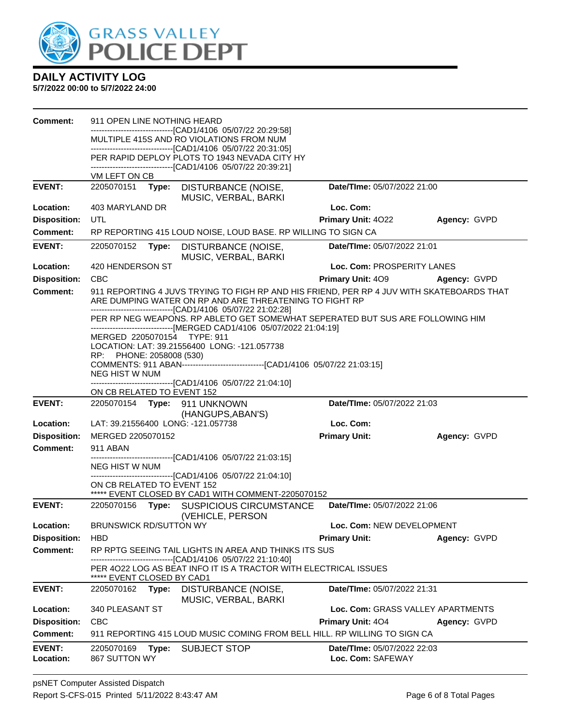

| <b>Comment:</b>     | 911 OPEN LINE NOTHING HEARD        |                                                                                                                                                                                                                        |                                   |              |
|---------------------|------------------------------------|------------------------------------------------------------------------------------------------------------------------------------------------------------------------------------------------------------------------|-----------------------------------|--------------|
|                     |                                    | --------------------------[CAD1/4106_05/07/22_20:29:58]<br>MULTIPLE 415S AND RO VIOLATIONS FROM NUM                                                                                                                    |                                   |              |
|                     |                                    | -------------------------------[CAD1/4106 05/07/22 20:31:05]<br>PER RAPID DEPLOY PLOTS TO 1943 NEVADA CITY HY                                                                                                          |                                   |              |
|                     |                                    | -------------------------------[CAD1/4106 05/07/22 20:39:21]                                                                                                                                                           |                                   |              |
| <b>EVENT:</b>       | VM LEFT ON CB                      |                                                                                                                                                                                                                        | Date/TIme: 05/07/2022 21:00       |              |
|                     | 2205070151<br>Type:                | DISTURBANCE (NOISE,<br>MUSIC, VERBAL, BARKI                                                                                                                                                                            |                                   |              |
| Location:           | 403 MARYLAND DR                    |                                                                                                                                                                                                                        | Loc. Com:                         |              |
| <b>Disposition:</b> | UTL                                |                                                                                                                                                                                                                        | Primary Unit: 4022                | Agency: GVPD |
| Comment:            |                                    | RP REPORTING 415 LOUD NOISE, LOUD BASE. RP WILLING TO SIGN CA                                                                                                                                                          |                                   |              |
| <b>EVENT:</b>       | 2205070152<br>Type:                | DISTURBANCE (NOISE,<br>MUSIC, VERBAL, BARKI                                                                                                                                                                            | Date/TIme: 05/07/2022 21:01       |              |
| Location:           | 420 HENDERSON ST                   |                                                                                                                                                                                                                        | Loc. Com: PROSPERITY LANES        |              |
| <b>Disposition:</b> | <b>CBC</b>                         |                                                                                                                                                                                                                        | <b>Primary Unit: 409</b>          | Agency: GVPD |
| <b>Comment:</b>     |                                    | 911 REPORTING 4 JUVS TRYING TO FIGH RP AND HIS FRIEND, PER RP 4 JUV WITH SKATEBOARDS THAT<br>ARE DUMPING WATER ON RP AND ARE THREATENING TO FIGHT RP                                                                   |                                   |              |
|                     |                                    | -------------------------------[CAD1/4106 05/07/22 21:02:28]<br>PER RP NEG WEAPONS. RP ABLETO GET SOMEWHAT SEPERATED BUT SUS ARE FOLLOWING HIM<br>------------------------------[MERGED CAD1/4106 05/07/2022 21:04:19] |                                   |              |
|                     | MERGED 2205070154 TYPE: 911        | LOCATION: LAT: 39.21556400 LONG: -121.057738                                                                                                                                                                           |                                   |              |
|                     | RP: PHONE: 2058008 (530)           |                                                                                                                                                                                                                        |                                   |              |
|                     | <b>NEG HIST W NUM</b>              | COMMENTS: 911 ABAN--------------------------------[CAD1/4106 05/07/22 21:03:15]                                                                                                                                        |                                   |              |
|                     |                                    | ------------------------------[CAD1/4106 05/07/22 21:04:10]                                                                                                                                                            |                                   |              |
|                     | ON CB RELATED TO EVENT 152         |                                                                                                                                                                                                                        |                                   |              |
|                     |                                    |                                                                                                                                                                                                                        |                                   |              |
| <b>EVENT:</b>       | 2205070154 Type:                   | 911 UNKNOWN                                                                                                                                                                                                            | Date/TIme: 05/07/2022 21:03       |              |
| Location:           | LAT: 39.21556400 LONG: -121.057738 | (HANGUPS, ABAN'S)                                                                                                                                                                                                      | Loc. Com:                         |              |
| <b>Disposition:</b> | MERGED 2205070152                  |                                                                                                                                                                                                                        | <b>Primary Unit:</b>              | Agency: GVPD |
| <b>Comment:</b>     | 911 ABAN                           |                                                                                                                                                                                                                        |                                   |              |
|                     |                                    | -------------------------------[CAD1/4106 05/07/22 21:03:15]                                                                                                                                                           |                                   |              |
|                     | NEG HIST W NUM                     | -------------------------------[CAD1/4106 05/07/22 21:04:10]                                                                                                                                                           |                                   |              |
|                     | ON CB RELATED TO EVENT 152         |                                                                                                                                                                                                                        |                                   |              |
| <b>EVENT:</b>       | 2205070156<br>Type:                | ***** EVENT CLOSED BY CAD1 WITH COMMENT-2205070152<br><b>SUSPICIOUS CIRCUMSTANCE</b>                                                                                                                                   | Date/TIme: 05/07/2022 21:06       |              |
| Location:           | <b>BRUNSWICK RD/SUTTON WY</b>      | (VEHICLE, PERSON                                                                                                                                                                                                       | Loc. Com: NEW DEVELOPMENT         |              |
| <b>Disposition:</b> | <b>HBD</b>                         |                                                                                                                                                                                                                        | <b>Primary Unit:</b>              | Agency: GVPD |
| <b>Comment:</b>     |                                    | RP RPTG SEEING TAIL LIGHTS IN AREA AND THINKS ITS SUS                                                                                                                                                                  |                                   |              |
|                     | ***** EVENT CLOSED BY CAD1         | ------------------[CAD1/4106 05/07/22 21:10:40]<br>PER 4022 LOG AS BEAT INFO IT IS A TRACTOR WITH ELECTRICAL ISSUES                                                                                                    |                                   |              |
| <b>EVENT:</b>       | 2205070162<br>Type:                | <b>DISTURBANCE (NOISE,</b><br>MUSIC, VERBAL, BARKI                                                                                                                                                                     | Date/TIme: 05/07/2022 21:31       |              |
| Location:           | 340 PLEASANT ST                    |                                                                                                                                                                                                                        | Loc. Com: GRASS VALLEY APARTMENTS |              |
| <b>Disposition:</b> | CBC                                |                                                                                                                                                                                                                        | Primary Unit: 404                 | Agency: GVPD |
| <b>Comment:</b>     |                                    | 911 REPORTING 415 LOUD MUSIC COMING FROM BELL HILL. RP WILLING TO SIGN CA                                                                                                                                              |                                   |              |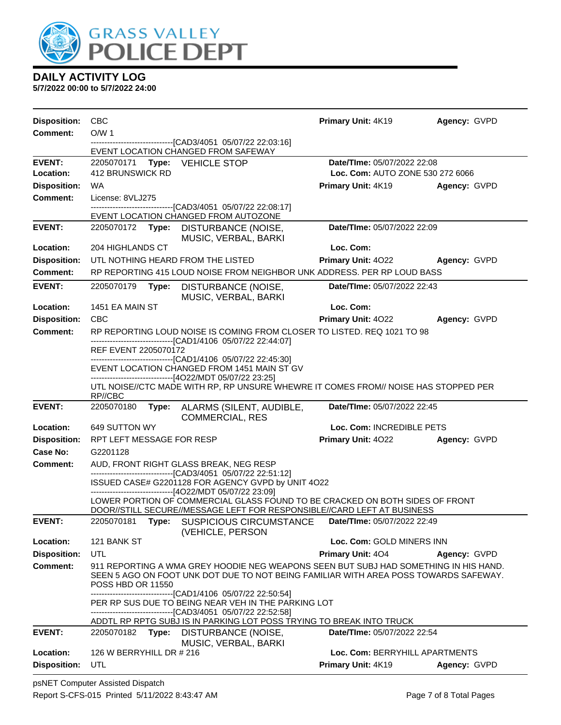

| <b>Disposition:</b> | <b>CBC</b>                |       |                                                                                                                                                                                 | Primary Unit: 4K19               | Agency: GVPD |
|---------------------|---------------------------|-------|---------------------------------------------------------------------------------------------------------------------------------------------------------------------------------|----------------------------------|--------------|
| <b>Comment:</b>     | O/W <sub>1</sub>          |       |                                                                                                                                                                                 |                                  |              |
|                     |                           |       | --------------------------------[CAD3/4051 05/07/22 22:03:16]<br>EVENT LOCATION CHANGED FROM SAFEWAY                                                                            |                                  |              |
| <b>EVENT:</b>       |                           |       | 2205070171 Type: VEHICLE STOP                                                                                                                                                   | Date/TIme: 05/07/2022 22:08      |              |
| Location:           | 412 BRUNSWICK RD          |       |                                                                                                                                                                                 | Loc. Com: AUTO ZONE 530 272 6066 |              |
| <b>Disposition:</b> | <b>WA</b>                 |       |                                                                                                                                                                                 | <b>Primary Unit: 4K19</b>        | Agency: GVPD |
| <b>Comment:</b>     | License: 8VLJ275          |       |                                                                                                                                                                                 |                                  |              |
|                     |                           |       | -------------------------------[CAD3/4051 05/07/22 22:08:17]<br>EVENT LOCATION CHANGED FROM AUTOZONE                                                                            |                                  |              |
| <b>EVENT:</b>       |                           |       | 2205070172 Type: DISTURBANCE (NOISE,<br>MUSIC, VERBAL, BARKI                                                                                                                    | Date/TIme: 05/07/2022 22:09      |              |
| Location:           | 204 HIGHLANDS CT          |       |                                                                                                                                                                                 | Loc. Com:                        |              |
| <b>Disposition:</b> |                           |       | UTL NOTHING HEARD FROM THE LISTED                                                                                                                                               | Primary Unit: 4022               | Agency: GVPD |
| <b>Comment:</b>     |                           |       | RP REPORTING 415 LOUD NOISE FROM NEIGHBOR UNK ADDRESS. PER RP LOUD BASS                                                                                                         |                                  |              |
| <b>EVENT:</b>       | 2205070179                | Type: | DISTURBANCE (NOISE,<br>MUSIC, VERBAL, BARKI                                                                                                                                     | Date/TIme: 05/07/2022 22:43      |              |
| Location:           | 1451 EA MAIN ST           |       |                                                                                                                                                                                 | Loc. Com:                        |              |
| <b>Disposition:</b> | <b>CBC</b>                |       |                                                                                                                                                                                 | Primary Unit: 4022               | Agency: GVPD |
| <b>Comment:</b>     |                           |       | RP REPORTING LOUD NOISE IS COMING FROM CLOSER TO LISTED. REQ 1021 TO 98                                                                                                         |                                  |              |
|                     | REF EVENT 2205070172      |       | -------------------------[CAD1/4106_05/07/22 22:44:07]                                                                                                                          |                                  |              |
|                     |                           |       | -------------------------------[CAD1/4106 05/07/22 22:45:30]<br>EVENT LOCATION CHANGED FROM 1451 MAIN ST GV                                                                     |                                  |              |
|                     | RP//CBC                   |       | -------------------------------[4O22/MDT 05/07/22 23:25]<br>UTL NOISE//CTC MADE WITH RP, RP UNSURE WHEWRE IT COMES FROM// NOISE HAS STOPPED PER                                 |                                  |              |
| <b>EVENT:</b>       | 2205070180                |       | Type: ALARMS (SILENT, AUDIBLE,<br><b>COMMERCIAL, RES</b>                                                                                                                        | Date/TIme: 05/07/2022 22:45      |              |
| Location:           | 649 SUTTON WY             |       |                                                                                                                                                                                 | Loc. Com: INCREDIBLE PETS        |              |
| <b>Disposition:</b> | RPT LEFT MESSAGE FOR RESP |       |                                                                                                                                                                                 | <b>Primary Unit: 4022</b>        | Agency: GVPD |
| Case No:            | G2201128                  |       |                                                                                                                                                                                 |                                  |              |
| <b>Comment:</b>     |                           |       | AUD, FRONT RIGHT GLASS BREAK, NEG RESP                                                                                                                                          |                                  |              |
|                     |                           |       | ---------------------------------[CAD3/4051 05/07/22 22:51:12]<br>ISSUED CASE# G2201128 FOR AGENCY GVPD by UNIT 4O22<br>------------------------------[4O22/MDT 05/07/22 23:09] |                                  |              |
|                     |                           |       | LOWER PORTION OF COMMERCIAL GLASS FOUND TO BE CRACKED ON BOTH SIDES OF FRONT                                                                                                    |                                  |              |
|                     |                           |       | DOOR//STILL SECURE//MESSAGE LEFT FOR RESPONSIBLE//CARD LEFT AT BUSINESS                                                                                                         |                                  |              |
| <b>EVENT:</b>       |                           |       | 2205070181 Type: SUSPICIOUS CIRCUMSTANCE Date/Time: 05/07/2022 22:49<br>(VEHICLE, PERSON                                                                                        |                                  |              |
| Location:           | 121 BANK ST               |       |                                                                                                                                                                                 | Loc. Com: GOLD MINERS INN        |              |
| <b>Disposition:</b> | UTL                       |       |                                                                                                                                                                                 | Primary Unit: 404                | Agency: GVPD |
| <b>Comment:</b>     | <b>POSS HBD OR 11550</b>  |       | 911 REPORTING A WMA GREY HOODIE NEG WEAPONS SEEN BUT SUBJ HAD SOMETHING IN HIS HAND.<br>SEEN 5 AGO ON FOOT UNK DOT DUE TO NOT BEING FAMILIAR WITH AREA POSS TOWARDS SAFEWAY.    |                                  |              |
|                     |                           |       | ------------------------------[CAD1/4106 05/07/22 22:50:54]<br>PER RP SUS DUE TO BEING NEAR VEH IN THE PARKING LOT                                                              |                                  |              |
|                     |                           |       | -------------------------------[CAD3/4051 05/07/22 22:52:58]<br>ADDTL RP RPTG SUBJ IS IN PARKING LOT POSS TRYING TO BREAK INTO TRUCK                                            |                                  |              |
| <b>EVENT:</b>       | 2205070182                | Type: | DISTURBANCE (NOISE,                                                                                                                                                             | Date/TIme: 05/07/2022 22:54      |              |
| Location:           | 126 W BERRYHILL DR # 216  |       | MUSIC, VERBAL, BARKI                                                                                                                                                            | Loc. Com: BERRYHILL APARTMENTS   |              |
| <b>Disposition:</b> | UTL                       |       |                                                                                                                                                                                 | <b>Primary Unit: 4K19</b>        | Agency: GVPD |